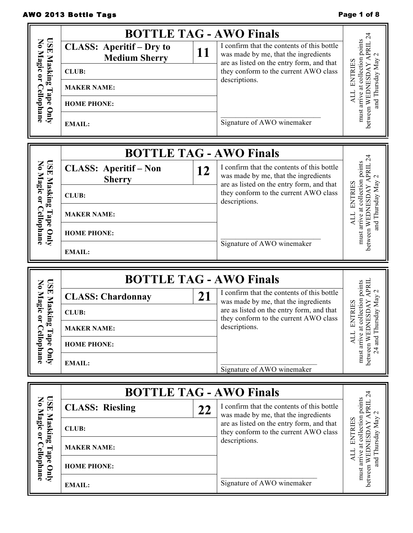# AWO 2013 Bottle Tags **Page 1 of 8** AWO 2013 Bottle Tags

|                                                 | <b>BOTTLE TAG - AWO Finals</b>                           |    |                                                                                                                                 |                                                                                                  |
|-------------------------------------------------|----------------------------------------------------------|----|---------------------------------------------------------------------------------------------------------------------------------|--------------------------------------------------------------------------------------------------|
| USE Masking Tape Only<br>No Magic or Cellophane | <b>CLASS: Aperitif - Dry to</b><br><b>Medium Sherry</b>  | 11 | I confirm that the contents of this bottle<br>was made by me, that the ingredients<br>are as listed on the entry form, and that | between WEDNESDAY APRIL 24<br>must arrive at collection points                                   |
|                                                 | <b>CLUB:</b>                                             |    | they conform to the current AWO class                                                                                           | and Thursday May<br><b>ENTRIES</b>                                                               |
|                                                 | <b>MAKER NAME:</b>                                       |    | descriptions.                                                                                                                   |                                                                                                  |
|                                                 | <b>HOME PHONE:</b>                                       |    |                                                                                                                                 | ALL                                                                                              |
|                                                 | <b>EMAIL:</b>                                            |    | Signature of AWO winemaker                                                                                                      |                                                                                                  |
|                                                 | <b>BOTTLE TAG - AWO Finals</b>                           |    |                                                                                                                                 |                                                                                                  |
| USE Masking Tape Only<br>No Magic or Cellophane | <b>CLASS: Aperitif - Non</b><br><b>Sherry</b>            | 12 | I confirm that the contents of this bottle<br>was made by me, that the ingredients<br>are as listed on the entry form, and that | between WEDNESDAY APRIL 24<br>arrive at collection points<br>$\mathcal{L}$                       |
|                                                 | <b>CLUB:</b>                                             |    | they conform to the current AWO class<br>descriptions.                                                                          | <b>ENTRIES</b>                                                                                   |
|                                                 | <b>MAKER NAME:</b>                                       |    |                                                                                                                                 | and Thursday May<br>ALL                                                                          |
|                                                 | <b>HOME PHONE:</b>                                       |    |                                                                                                                                 | must                                                                                             |
|                                                 | <b>EMAIL:</b>                                            |    | Signature of AWO winemaker                                                                                                      |                                                                                                  |
|                                                 |                                                          |    |                                                                                                                                 |                                                                                                  |
|                                                 | <b>BOTTLE TAG - AWO Finals</b>                           |    |                                                                                                                                 |                                                                                                  |
|                                                 | <b>CLASS: Chardonnay</b>                                 | 21 | I confirm that the contents of this bottle                                                                                      | $\mathcal{L}$                                                                                    |
|                                                 | <b>CLUB:</b>                                             |    | was made by me, that the ingredients<br>are as listed on the entry form, and that                                               |                                                                                                  |
| <b>USE Masking</b>                              | <b>MAKER NAME:</b>                                       |    | they conform to the current AWO class<br>descriptions.                                                                          | collection points<br>ursday May<br><b>ENTRIES</b>                                                |
|                                                 | <b>HOME PHONE:</b>                                       |    |                                                                                                                                 | $24$ and Th<br><b>ALL</b>                                                                        |
| No Magic or Cellophane<br>Tape Only             | <b>EMAIL:</b>                                            |    | Signature of AWO winemaker                                                                                                      | between WEDNESDAY APRII<br>must arrive at                                                        |
|                                                 |                                                          |    |                                                                                                                                 |                                                                                                  |
|                                                 | <b>BOTTLE TAG - AWO Finals</b><br><b>CLASS: Riesling</b> |    | I confirm that the contents of this bottle                                                                                      |                                                                                                  |
|                                                 | <b>CLUB:</b>                                             | 22 | was made by me, that the ingredients<br>are as listed on the entry form, and that                                               | $\mathbf 2$                                                                                      |
|                                                 | <b>MAKER NAME:</b>                                       |    | they conform to the current AWO class<br>descriptions.                                                                          | <b>ENTRIES</b>                                                                                   |
| USE Masking Tape Only<br>No Magic or Cellophane | <b>HOME PHONE:</b>                                       |    |                                                                                                                                 | between WEDNESDAY APRIL 24<br>must arrive at collection points<br>and Thursday May<br><b>ALL</b> |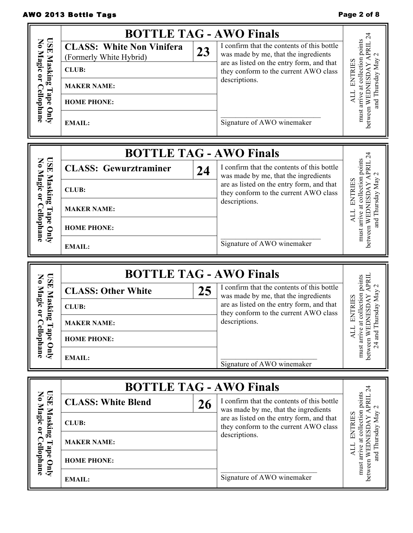# AWO 2013 Bottle Tags **Page 2 of 8** AWO 2013 Bottle Tags

|                                       | <b>BOTTLE TAG - AWO Finals</b>                              |    |                                                                                                                                 | $\overline{24}$                                                                                  |
|---------------------------------------|-------------------------------------------------------------|----|---------------------------------------------------------------------------------------------------------------------------------|--------------------------------------------------------------------------------------------------|
| USE Masking<br>No Magic or Cellophane | <b>CLASS: White Non Vinifera</b><br>(Formerly White Hybrid) | 23 | I confirm that the contents of this bottle<br>was made by me, that the ingredients<br>are as listed on the entry form, and that | must arrive at collection points<br>between WEDNESDAY APRIL                                      |
|                                       | <b>CLUB:</b>                                                |    | they conform to the current AWO class                                                                                           | and Thursday May 2<br>ENTRIES                                                                    |
|                                       | <b>MAKER NAME:</b>                                          |    | descriptions.                                                                                                                   |                                                                                                  |
| Tape Only                             | <b>HOME PHONE:</b>                                          |    |                                                                                                                                 | ALL                                                                                              |
|                                       | <b>EMAIL:</b>                                               |    | Signature of AWO winemaker                                                                                                      |                                                                                                  |
|                                       | <b>BOTTLE TAG - AWO Finals</b>                              |    |                                                                                                                                 |                                                                                                  |
| No Magic or Cellophane<br><b>USE</b>  | <b>CLASS: Gewurztraminer</b>                                | 24 | I confirm that the contents of this bottle<br>was made by me, that the ingredients                                              | between WEDNESDAY APRIL 24<br>must arrive at collection points                                   |
| Masking                               | <b>CLUB:</b>                                                |    | are as listed on the entry form, and that<br>they conform to the current AWO class                                              | and Thursday May<br><b>ENTRIES</b>                                                               |
|                                       | <b>MAKER NAME:</b>                                          |    | descriptions.                                                                                                                   | ALL                                                                                              |
| Tape Only                             | <b>HOME PHONE:</b>                                          |    |                                                                                                                                 |                                                                                                  |
|                                       | <b>EMAIL:</b>                                               |    | Signature of AWO winemaker                                                                                                      |                                                                                                  |
|                                       |                                                             |    |                                                                                                                                 |                                                                                                  |
|                                       | <b>BOTTLE TAG - AWO Finals</b>                              |    |                                                                                                                                 |                                                                                                  |
| <b>USE</b>                            | <b>CLASS: Other White</b>                                   | 25 | I confirm that the contents of this bottle                                                                                      |                                                                                                  |
|                                       | <b>CLUB:</b>                                                |    | was made by me, that the ingredients<br>are as listed on the entry form, and that                                               |                                                                                                  |
| No Magic or C<br>Masking              | <b>MAKER NAME:</b>                                          |    | they conform to the current AWO class<br>descriptions.                                                                          | DNESDAY APRIL<br>at collection points<br>Thursday May 2<br><b>ENTRIES</b>                        |
|                                       | <b>HOME PHONE:</b>                                          |    |                                                                                                                                 | ЛИ                                                                                               |
| Tape Only<br>ellophane                | <b>EMAIL:</b>                                               |    | Signature of AWO winemaker                                                                                                      | between WE<br>must arrive<br>24 and $T$                                                          |
|                                       |                                                             |    |                                                                                                                                 |                                                                                                  |
|                                       | <b>BOTTLE TAG - AWO Finals</b><br><b>CLASS: White Blend</b> |    | I confirm that the contents of this bottle                                                                                      |                                                                                                  |
|                                       | <b>CLUB:</b>                                                | 26 | was made by me, that the ingredients<br>are as listed on the entry form, and that                                               |                                                                                                  |
| USE Masking<br>No Magic or            | <b>MAKER NAME:</b>                                          |    | they conform to the current AWO class<br>descriptions.                                                                          | <b>ENTRIES</b>                                                                                   |
| Cellophane<br>Tape Only               | <b>HOME PHONE:</b>                                          |    |                                                                                                                                 | between WEDNESDAY APRIL 24<br>must arrive at collection points<br>and Thursday May<br><b>ALL</b> |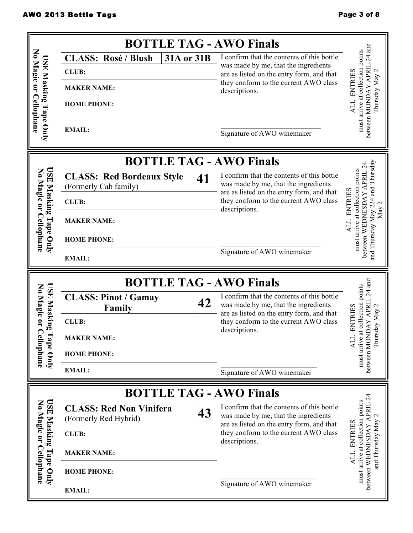|                                                 | <b>BOTTLE TAG - AWO Finals</b>                            |    |                                                                                                                                 |                                                                                        |
|-------------------------------------------------|-----------------------------------------------------------|----|---------------------------------------------------------------------------------------------------------------------------------|----------------------------------------------------------------------------------------|
|                                                 | 31A or 31B<br><b>CLASS: Rosé / Blush</b>                  |    | I confirm that the contents of this bottle                                                                                      |                                                                                        |
|                                                 | <b>CLUB:</b>                                              |    | was made by me, that the ingredients<br>are as listed on the entry form, and that                                               |                                                                                        |
|                                                 | <b>MAKER NAME:</b>                                        |    | they conform to the current AWO class<br>descriptions.                                                                          | <b>ENTRIES</b><br>Thursday May                                                         |
|                                                 | <b>HOME PHONE:</b>                                        |    |                                                                                                                                 | ALL                                                                                    |
| No Magic or Cellophane<br>USE Masking Tape Only | <b>EMAIL:</b>                                             |    | Signature of AWO winemaker                                                                                                      | between MONDAY APRIL 24 and<br>must arrive at collection points                        |
|                                                 | <b>BOTTLE TAG - AWO Finals</b>                            |    |                                                                                                                                 |                                                                                        |
| <b>ISE</b><br>No Magic or                       | <b>CLASS: Red Bordeaux Style</b><br>(Formerly Cab family) | 41 | I confirm that the contents of this bottle<br>was made by me, that the ingredients<br>are as listed on the entry form, and that | must arrive at collection points                                                       |
| Masking                                         | <b>CLUB:</b>                                              |    | they conform to the current AWO class                                                                                           | <b>ENTRIES</b><br>$\mathbf{\sim}$                                                      |
| Cellophane<br>Tape Only                         | <b>MAKER NAME:</b>                                        |    | descriptions.                                                                                                                   | May<br>ALL                                                                             |
|                                                 | <b>HOME PHONE:</b>                                        |    | Signature of AWO winemaker                                                                                                      | and Thursday May 224 and Thursday<br>between WEDNESDAY APRIL 24                        |
|                                                 | <b>EMAIL:</b>                                             |    |                                                                                                                                 |                                                                                        |
|                                                 |                                                           |    |                                                                                                                                 |                                                                                        |
|                                                 | <b>BOTTLE TAG - AWO Finals</b>                            |    |                                                                                                                                 |                                                                                        |
| <b>USE</b>                                      | <b>CLASS: Pinot / Gamay</b>                               | 42 | I confirm that the contents of this bottle<br>was made by me, that the ingredients                                              |                                                                                        |
|                                                 | Family<br><b>CLUB:</b>                                    |    | are as listed on the entry form, and that<br>they conform to the current AWO class                                              |                                                                                        |
| No Magic or<br>Masking                          | <b>MAKER NAME:</b>                                        |    | descriptions.                                                                                                                   | <b>ENTRIES</b>                                                                         |
|                                                 | <b>HOME PHONE:</b>                                        |    |                                                                                                                                 | Thursday May<br>ALL                                                                    |
| Tape Only<br>ellophane                          | <b>EMAIL:</b>                                             |    | Signature of AWO winemaker                                                                                                      | between MONDAY APRIL 24 and<br>must arrive at collection points                        |
|                                                 | <b>BOTTLE TAG - AWO Finals</b>                            |    |                                                                                                                                 |                                                                                        |
| <b>USE</b>                                      | <b>CLASS: Red Non Vinifera</b><br>(Formerly Red Hybrid)   | 43 | I confirm that the contents of this bottle<br>was made by me, that the ingredients                                              | Z                                                                                      |
|                                                 | <b>CLUB:</b>                                              |    | are as listed on the entry form, and that<br>they conform to the current AWO class                                              |                                                                                        |
| No Magic or<br>Masking                          | <b>MAKER NAME:</b>                                        |    | descriptions.                                                                                                                   | <b>ENTRIES</b>                                                                         |
| <b>Cellophane</b><br>Tape Only                  | <b>HOME PHONE:</b>                                        |    |                                                                                                                                 | must arrive at collection points<br>between WEDNESDAY APRIL<br>and Thursday May<br>ALL |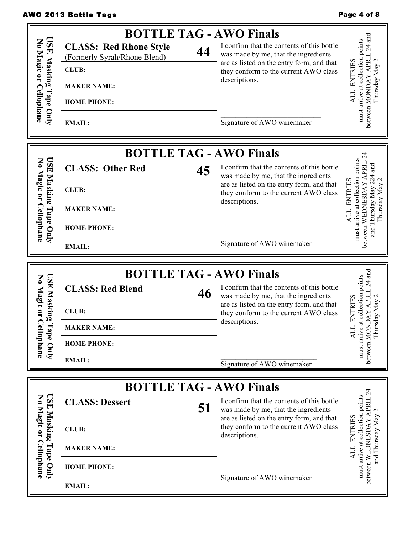# AWO 2013 Bottle Tags **Page 4 of 8** AWO 2013 Bottle Tags

|                                      | <b>BOTTLE TAG - AWO Finals</b>                                |                                                                                                                                       |                                                                                                      |
|--------------------------------------|---------------------------------------------------------------|---------------------------------------------------------------------------------------------------------------------------------------|------------------------------------------------------------------------------------------------------|
| <b>USE</b><br>No Magic or Cellophane | <b>CLASS: Red Rhone Style</b><br>(Formerly Syrah/Rhone Blend) | I confirm that the contents of this bottle<br>44<br>was made by me, that the ingredients<br>are as listed on the entry form, and that | between MONDAY APRIL 24 and<br>arrive at collection points<br>$\mathbf{C}$                           |
| Masking                              | <b>CLUB:</b>                                                  | they conform to the current AWO class<br>descriptions.                                                                                | <b>ENTRIES</b>                                                                                       |
|                                      | <b>MAKER NAME:</b>                                            |                                                                                                                                       | Thursday May<br><b>ALL</b>                                                                           |
| Tape Only                            | <b>HOME PHONE:</b>                                            |                                                                                                                                       |                                                                                                      |
|                                      | <b>EMAIL:</b>                                                 | Signature of AWO winemaker                                                                                                            | must                                                                                                 |
|                                      |                                                               | <b>BOTTLE TAG - AWO Finals</b>                                                                                                        |                                                                                                      |
| <b>GSE</b><br>No Magic or            | <b>CLASS: Other Red</b>                                       | I confirm that the contents of this bottle<br>45<br>was made by me, that the ingredients                                              | and                                                                                                  |
| Masking                              | <b>CLUB:</b>                                                  | are as listed on the entry form, and that<br>they conform to the current AWO class                                                    | must arrive at collection points<br>between WEDNESDAY APRII<br>224<br><b>ENTRIES</b><br>$\mathbf{C}$ |
|                                      | <b>MAKER NAME:</b>                                            | descriptions.                                                                                                                         | Thursday May<br>and Thursday May<br><b>TTY</b>                                                       |
| Cellophane<br>Tape Only              | <b>HOME PHONE:</b>                                            |                                                                                                                                       |                                                                                                      |
|                                      | <b>EMAIL:</b>                                                 | Signature of AWO winemaker                                                                                                            |                                                                                                      |
|                                      |                                                               |                                                                                                                                       |                                                                                                      |
|                                      |                                                               | <b>BOTTLE TAG - AWO Finals</b>                                                                                                        |                                                                                                      |
| <b>ISE</b>                           | <b>CLASS: Red Blend</b>                                       | I confirm that the contents of this bottle<br>46<br>was made by me, that the ingredients                                              | $\mathbf 2$                                                                                          |
|                                      | <b>CLUB:</b>                                                  | are as listed on the entry form, and that<br>they conform to the current AWO class                                                    |                                                                                                      |
| No Magic or C<br>Masking             | <b>MAKER NAME:</b>                                            | descriptions.                                                                                                                         | at collection points<br><b>ENTRIES</b><br>sday May                                                   |
|                                      | <b>HOME PHONE:</b>                                            |                                                                                                                                       | Thur<br>TTY                                                                                          |
| Tape Only<br>ellophane               | <b>EMAIL:</b>                                                 | Signature of AWO winemaker                                                                                                            | between MONDAY APRIL 24 and<br>must arrive                                                           |
|                                      |                                                               |                                                                                                                                       |                                                                                                      |
| <b>USE</b>                           | <b>CLASS: Dessert</b>                                         | <b>BOTTLE TAG - AWO Finals</b><br>I confirm that the contents of this bottle<br>51<br>was made by me, that the ingredients            |                                                                                                      |
|                                      | <b>CLUB:</b>                                                  | are as listed on the entry form, and that<br>they conform to the current AWO class                                                    |                                                                                                      |
| Masking                              | <b>MAKER NAME:</b>                                            | descriptions.                                                                                                                         | <b>ENTRIES</b>                                                                                       |
| No Magic or Cellophane<br>Tape Only  | <b>HOME PHONE:</b>                                            | Signature of AWO winemaker                                                                                                            | between WEDNESDAY APRIL 24<br>must arrive at collection points<br>and Thursday May<br><b>ALL</b>     |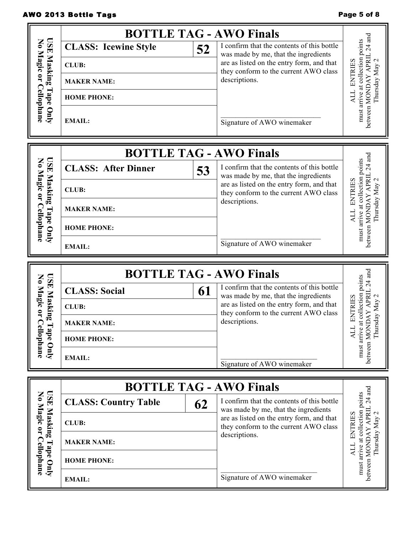## AWO 2013 Bottle Tags **Page 5 of 8** and 2013 Bottle Tags

**USE Masking Tape Only No Magic or Cellophane**

USE Masking Tape Only<br>No Magic or Cellophane

F

# **BOTTLE TAG - AWO Finals**<br>**Style**  $\begin{array}{|c|c|c|c|c|} \hline \end{array}$  **Follogence** I **Follogence** I I confirm that the contents of this bottle must arrive at collection points<br>between MONDAY APRIL 24 and<br>Thursday May 2 must arrive at collection points **CLASS:** Icewine Style 52 was made by me, that the ingredients ALL ENTRIES are as listed on the entry form, and that ALL ENTRIES they conform to the current AWO class descriptions.

**HOME PHONE:**

**MAKER NAME:**

**EMAIL:**

**CLUB:**

 $\mathcal{L}=\mathcal{L}^{\mathcal{L}}$  , where  $\mathcal{L}^{\mathcal{L}}$  , we have the set of the set of the set of the set of the set of the set of the set of the set of the set of the set of the set of the set of the set of the set of the set of Signature of AWO winemaker

|                                              |                            |    | <b>BOTTLE TAG - AWO Finals</b>                                                     | 듾             |
|----------------------------------------------|----------------------------|----|------------------------------------------------------------------------------------|---------------|
|                                              | <b>CLASS: After Dinner</b> | 53 | I confirm that the contents of this bottle<br>was made by me, that the ingredients | oints         |
| <b>USE Masking</b><br>No Magic or<br>Masking | <b>CLUB:</b>               |    | are as listed on the entry form, and that<br>they conform to the current AWO class | ទី            |
| ⊣                                            | <b>MAKER NAME:</b>         |    | descriptions.                                                                      |               |
| Cellophane<br>ape<br>Quly                    | <b>HOME PHONE:</b>         |    |                                                                                    | stwee<br>must |
|                                              | <b>EMAIL:</b>              |    | Signature of AWO winemaker                                                         |               |

|                                   | <b>BOTTLE TAG - AWO Finals</b> |                                                                                    | ರ<br>points     |
|-----------------------------------|--------------------------------|------------------------------------------------------------------------------------|-----------------|
| <b>USE Masking</b><br>No Magic or | 61<br><b>CLASS: Social</b>     | I confirm that the contents of this bottle<br>was made by me, that the ingredients | $\overline{24}$ |
| Masking                           | <b>CLUB:</b>                   | are as listed on the entry form, and that<br>they conform to the current AWO class | RIES            |
| ◠                                 | <b>MAKER NAME:</b>             | descriptions.                                                                      | Ę               |
| Tape<br>ellophane                 | <b>HOME PHONE:</b>             |                                                                                    |                 |
| Vnly                              | <b>EMAIL:</b>                  | Signature of AWO winemaker                                                         | must            |

|                         |                             |    | <b>BOTTLE TAG - AWO Finals</b>                                                     |            |
|-------------------------|-----------------------------|----|------------------------------------------------------------------------------------|------------|
| USE Mask<br>No Magic    | <b>CLASS: Country Table</b> | 62 | I confirm that the contents of this bottle<br>was made by me, that the ingredients | oints<br>4 |
| Masking<br>$\mathbf{Q}$ | <b>CLUB:</b>                |    | are as listed on the entry form, and that<br>they conform to the current AWO class | 'RIF.      |
| ٢                       | <b>MAKER NAME:</b>          |    | descriptions.                                                                      | Ķ          |
| Cellophane<br>ape<br>C  | <b>HOME PHONE:</b>          |    |                                                                                    | must       |
| $\overline{A}$          | <b>EMAIL:</b>               |    | Signature of AWO winemaker                                                         | etwee      |

between MONDAY APRIL 24 and Thursday May 2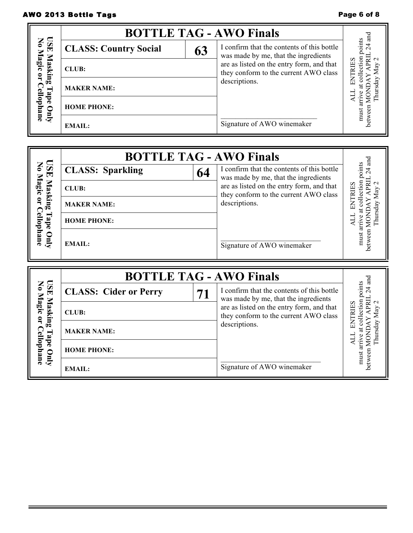## AWO 2013 Bottle Tags **Page 6 of 8** AWO 2013 Bottle Tags

Ē

|                           |                              |    | <b>BOTTLE TAG - AWO Finals</b>                                                     |             |
|---------------------------|------------------------------|----|------------------------------------------------------------------------------------|-------------|
| USE Mask<br>No Magic      | <b>CLASS: Country Social</b> | 63 | I confirm that the contents of this bottle<br>was made by me, that the ingredients | points<br>4 |
| Masking<br>$\mathbf{Q}$   | CLUB:                        |    | are as listed on the entry form, and that<br>they conform to the current AWO class | RIES        |
|                           | <b>MAKER NAME:</b>           |    | descriptions.                                                                      |             |
| Cellophane<br>abe<br>Quly | <b>HOME PHONE:</b>           |    |                                                                                    | must        |
|                           | <b>EMAIL:</b>                |    | Signature of AWO winemaker                                                         |             |

|                                 | <b>BOTTLE TAG - AWO Finals</b> |    |                                                                                    | and                      |
|---------------------------------|--------------------------------|----|------------------------------------------------------------------------------------|--------------------------|
|                                 | <b>CLASS: Sparkling</b>        | 64 | I confirm that the contents of this bottle<br>was made by me, that the ingredients | oints<br>$\overline{24}$ |
| USE Masl<br>No Magic<br>Masking | <b>CLUB:</b>                   |    | are as listed on the entry form, and that<br>they conform to the current AWO class | $c$ tion                 |
| $\mathbf{c}$                    | <b>MAKER NAME:</b>             |    | descriptions.                                                                      |                          |
| Tape                            | <b>HOME PHONE:</b>             |    |                                                                                    |                          |
| Cellophane<br>Quly              | <b>EMAIL:</b>                  |    | Signature of AWO winemaker                                                         | stween<br>must           |

|                         |                              |    | <b>BOTTLE TAG - AWO Finals</b>                                                     | аnd                      |
|-------------------------|------------------------------|----|------------------------------------------------------------------------------------|--------------------------|
| USE Mask<br>No Magic    | <b>CLASS: Cider or Perry</b> | 71 | I confirm that the contents of this bottle<br>was made by me, that the ingredients | oints<br>$\overline{24}$ |
| Masking<br>$\mathbf{C}$ | <b>CLUB:</b>                 |    | are as listed on the entry form, and that<br>they conform to the current AWO class |                          |
|                         | <b>MAKER NAME:</b>           |    | descriptions.                                                                      |                          |
| ellophane<br>ade<br>C   | <b>HOME PHONE:</b>           |    |                                                                                    | must                     |
| $\overline{A}$          | <b>EMAIL:</b>                |    | Signature of AWO winemaker                                                         | betwee                   |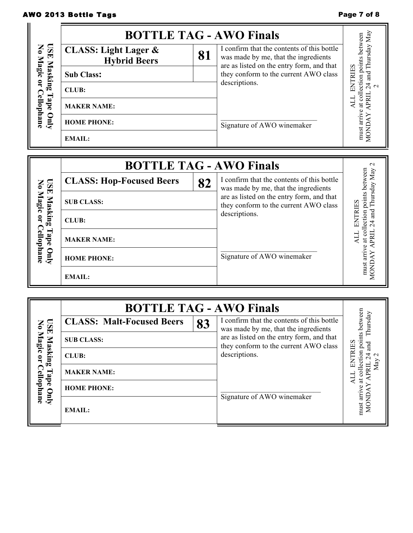# AWO 2013 Bottle Tags **Page 7 of 8** AWO 2013 Bottle Tags

|                            | <b>BOTTLE TAG - AWO Finals</b>                         |    |                                                                                                                                 | Мay                 |
|----------------------------|--------------------------------------------------------|----|---------------------------------------------------------------------------------------------------------------------------------|---------------------|
| <b>USE</b><br>$\mathbf{S}$ | <b>CLASS: Light Lager &amp;</b><br><b>Hybrid Beers</b> | 81 | I confirm that the contents of this bottle<br>was made by me, that the ingredients<br>are as listed on the entry form, and that | between<br>sday     |
| Magic<br>Masking           | <b>Sub Class:</b>                                      |    | they conform to the current AWO class                                                                                           | E                   |
| $\mathbf{a}$               | <b>CLUB:</b>                                           |    | descriptions.                                                                                                                   |                     |
| ellophane<br>J             | <b>MAKER NAME:</b>                                     |    |                                                                                                                                 | ಕ                   |
| <b>Auro</b>                | <b>HOME PHONE:</b>                                     |    | Signature of AWO winemaker                                                                                                      | arrive              |
|                            | <b>EMAIL:</b>                                          |    |                                                                                                                                 | <b>MONI</b><br>must |

|                           | <b>BOTTLE TAG - AWO Finals</b>  |    |                                                                                    | $\mathbf{\sim}$        |
|---------------------------|---------------------------------|----|------------------------------------------------------------------------------------|------------------------|
|                           | <b>CLASS: Hop-Focused Beers</b> | 82 | I confirm that the contents of this bottle<br>was made by me, that the ingredients | etween<br>hursday May  |
| USE Mask<br>No Magic      | <b>SUB CLASS:</b>               |    | are as listed on the entry form, and that<br>they conform to the current AWO class | points<br><b>RIIES</b> |
| Masking<br>$\mathbf{Q}$   | CLUB:                           |    | descriptions.                                                                      | ection<br>аnd          |
| <b>Cellophane</b><br>Tape | <b>MAKER NAME:</b>              |    |                                                                                    | Ħ                      |
| Vnly                      | <b>HOME PHONE:</b>              |    | Signature of AWO winemaker                                                         | 듢                      |
|                           | <b>EMAIL:</b>                   |    |                                                                                    | must                   |

|                                                                            | <b>BOTTLE TAG - AWO Finals</b>           |    |                                                                                                                                                                                           |                                        |
|----------------------------------------------------------------------------|------------------------------------------|----|-------------------------------------------------------------------------------------------------------------------------------------------------------------------------------------------|----------------------------------------|
| <b>USE Masking</b><br>No Magic or<br>Masking<br>Cellophane<br>Tape<br>Vnly | <b>CLASS: Malt-Focused Beers</b>         | 83 | I confirm that the contents of this bottle<br>was made by me, that the ingredients<br>are as listed on the entry form, and that<br>they conform to the current AWO class<br>descriptions. | nts between<br>hursday<br>ŒЯ<br>ರ<br>ຮ |
|                                                                            | <b>SUB CLASS:</b>                        |    |                                                                                                                                                                                           |                                        |
|                                                                            | CLUB:                                    |    |                                                                                                                                                                                           |                                        |
|                                                                            | <b>MAKER NAME:</b><br><b>HOME PHONE:</b> |    | Signature of AWO winemaker                                                                                                                                                                |                                        |
|                                                                            |                                          |    |                                                                                                                                                                                           |                                        |